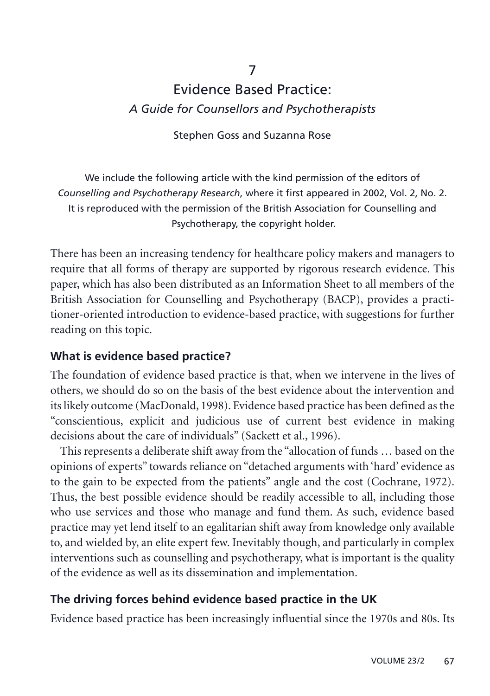# 7 Evidence Based Practice: *A Guide for Counsellors and Psychotherapists*

#### Stephen Goss and Suzanna Rose

We include the following article with the kind permission of the editors of *Counselling and Psychotherapy Research*, where it first appeared in 2002, Vol. 2, No. 2. It is reproduced with the permission of the British Association for Counselling and Psychotherapy, the copyright holder.

There has been an increasing tendency for healthcare policy makers and managers to require that all forms of therapy are supported by rigorous research evidence. This paper, which has also been distributed as an Information Sheet to all members of the British Association for Counselling and Psychotherapy (BACP), provides a practitioner-oriented introduction to evidence-based practice, with suggestions for further reading on this topic.

### **What is evidence based practice?**

The foundation of evidence based practice is that, when we intervene in the lives of others, we should do so on the basis of the best evidence about the intervention and its likely outcome (MacDonald, 1998). Evidence based practice has been defined as the "conscientious, explicit and judicious use of current best evidence in making decisions about the care of individuals" (Sackett et al., 1996).

This represents a deliberate shift away from the "allocation of funds … based on the opinions of experts" towards reliance on "detached arguments with 'hard' evidence as to the gain to be expected from the patients" angle and the cost (Cochrane, 1972). Thus, the best possible evidence should be readily accessible to all, including those who use services and those who manage and fund them. As such, evidence based practice may yet lend itself to an egalitarian shift away from knowledge only available to, and wielded by, an elite expert few. Inevitably though, and particularly in complex interventions such as counselling and psychotherapy, what is important is the quality of the evidence as well as its dissemination and implementation.

# **The driving forces behind evidence based practice in the UK**

Evidence based practice has been increasingly influential since the 1970s and 80s. Its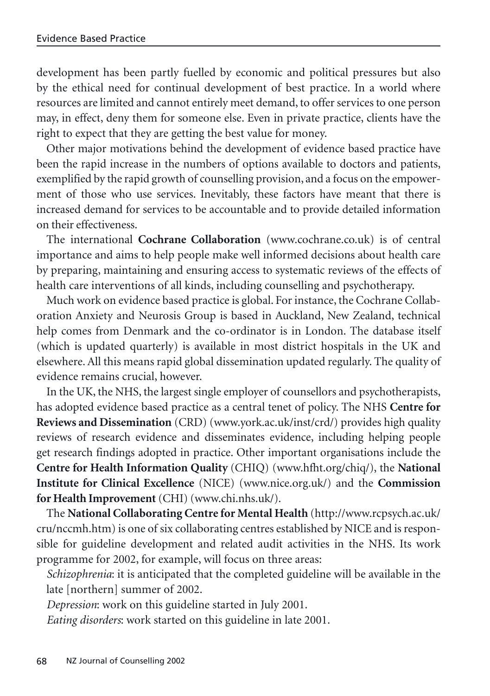development has been partly fuelled by economic and political pressures but also by the ethical need for continual development of best practice. In a world where resources are limited and cannot entirely meet demand, to offer services to one person may, in effect, deny them for someone else. Even in private practice, clients have the right to expect that they are getting the best value for money.

Other major motivations behind the development of evidence based practice have been the rapid increase in the numbers of options available to doctors and patients, exemplified by the rapid growth of counselling provision, and a focus on the empowerment of those who use services. Inevitably, these factors have meant that there is increased demand for services to be accountable and to provide detailed information on their effectiveness.

The international **Cochrane Collaboration** (www.cochrane.co.uk) is of central importance and aims to help people make well informed decisions about health care by preparing, maintaining and ensuring access to systematic reviews of the effects of health care interventions of all kinds, including counselling and psychotherapy.

Much work on evidence based practice is global. For instance, the Cochrane Collaboration Anxiety and Neurosis Group is based in Auckland, New Zealand, technical help comes from Denmark and the co-ordinator is in London. The database itself (which is updated quarterly) is available in most district hospitals in the UK and elsewhere. All this means rapid global dissemination updated regularly. The quality of evidence remains crucial, however.

In the UK, the NHS, the largest single employer of counsellors and psychotherapists, has adopted evidence based practice as a central tenet of policy. The NHS **Centre for Reviews and Dissemination** (CRD) (www.york.ac.uk/inst/crd/) provides high quality reviews of research evidence and disseminates evidence, including helping people get research findings adopted in practice. Other important organisations include the **Centre for Health Information Quality** (CHIQ) (www.hfht.org/chiq/), the **National Institute for Clinical Excellence** (NICE) (www.nice.org.uk/) and the **Commission for Health Improvement** (CHI) (www.chi.nhs.uk/).

The **National Collaborating Centre for Mental Health** (http://www.rcpsych.ac.uk/ cru/nccmh.htm) is one of six collaborating centres established by NICE and is responsible for guideline development and related audit activities in the NHS. Its work programme for 2002, for example, will focus on three areas:

*Schizophrenia*: it is anticipated that the completed guideline will be available in the late [northern] summer of 2002.

*Depression*: work on this guideline started in July 2001.

*Eating disorders*: work started on this guideline in late 2001.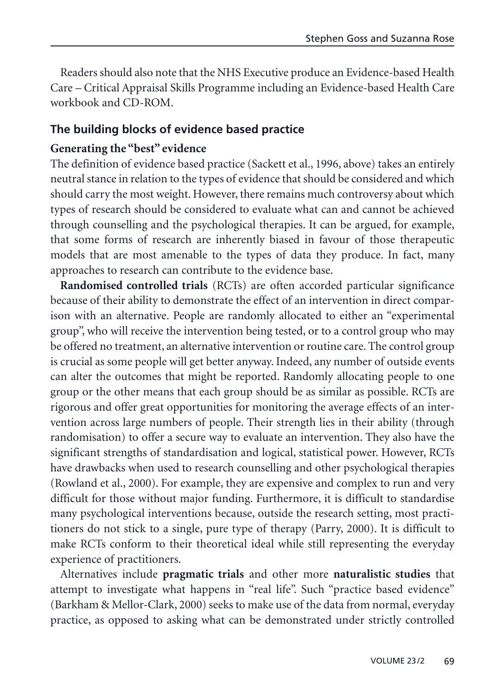Readers should also note that the NHS Executive produce an Evidence-based Health Care – Critical Appraisal Skills Programme including an Evidence-based Health Care workbook and CD-ROM.

### **The building blocks of evidence based practice**

### **Generating the "best" evidence**

The definition of evidence based practice (Sackett et al., 1996, above) takes an entirely neutral stance in relation to the types of evidence that should be considered and which should carry the most weight. However, there remains much controversy about which types of research should be considered to evaluate what can and cannot be achieved through counselling and the psychological therapies. It can be argued, for example, that some forms of research are inherently biased in favour of those therapeutic models that are most amenable to the types of data they produce. In fact, many approaches to research can contribute to the evidence base.

**Randomised controlled trials** (RCTs) are often accorded particular significance because of their ability to demonstrate the effect of an intervention in direct comparison with an alternative. People are randomly allocated to either an "experimental group", who will receive the intervention being tested, or to a control group who may be offered no treatment, an alternative intervention or routine care. The control group is crucial as some people will get better anyway. Indeed, any number of outside events can alter the outcomes that might be reported. Randomly allocating people to one group or the other means that each group should be as similar as possible. RCTs are rigorous and offer great opportunities for monitoring the average effects of an intervention across large numbers of people. Their strength lies in their ability (through randomisation) to offer a secure way to evaluate an intervention. They also have the significant strengths of standardisation and logical, statistical power. However, RCTs have drawbacks when used to research counselling and other psychological therapies (Rowland et al., 2000). For example, they are expensive and complex to run and very difficult for those without major funding. Furthermore, it is difficult to standardise many psychological interventions because, outside the research setting, most practitioners do not stick to a single, pure type of therapy (Parry, 2000). It is difficult to make RCTs conform to their theoretical ideal while still representing the everyday experience of practitioners.

Alternatives include **pragmatic trials** and other more **naturalistic studies** that attempt to investigate what happens in "real life". Such "practice based evidence" (Barkham & Mellor-Clark, 2000) seeks to make use of the data from normal, everyday practice, as opposed to asking what can be demonstrated under strictly controlled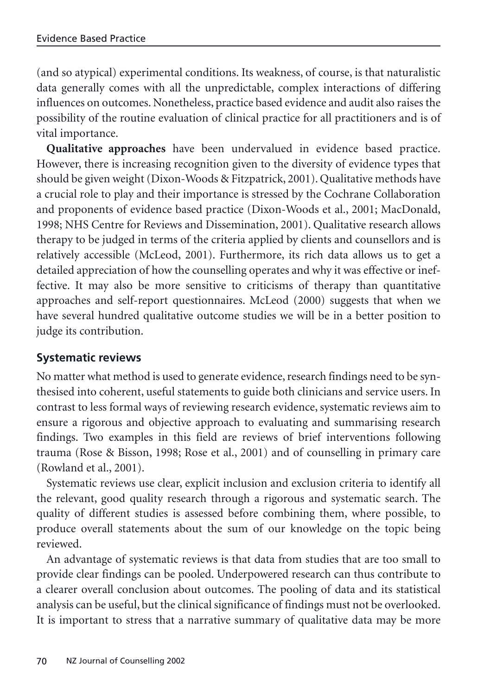(and so atypical) experimental conditions. Its weakness, of course, is that naturalistic data generally comes with all the unpredictable, complex interactions of differing influences on outcomes. Nonetheless, practice based evidence and audit also raises the possibility of the routine evaluation of clinical practice for all practitioners and is of vital importance.

**Qualitative approaches** have been undervalued in evidence based practice. However, there is increasing recognition given to the diversity of evidence types that should be given weight (Dixon-Woods & Fitzpatrick, 2001). Qualitative methods have a crucial role to play and their importance is stressed by the Cochrane Collaboration and proponents of evidence based practice (Dixon-Woods et al., 2001; MacDonald, 1998; NHS Centre for Reviews and Dissemination, 2001). Qualitative research allows therapy to be judged in terms of the criteria applied by clients and counsellors and is relatively accessible (McLeod, 2001). Furthermore, its rich data allows us to get a detailed appreciation of how the counselling operates and why it was effective or ineffective. It may also be more sensitive to criticisms of therapy than quantitative approaches and self-report questionnaires. McLeod (2000) suggests that when we have several hundred qualitative outcome studies we will be in a better position to judge its contribution.

# **Systematic reviews**

No matter what method is used to generate evidence, research findings need to be synthesised into coherent, useful statements to guide both clinicians and service users. In contrast to less formal ways of reviewing research evidence, systematic reviews aim to ensure a rigorous and objective approach to evaluating and summarising research findings. Two examples in this field are reviews of brief interventions following trauma (Rose & Bisson, 1998; Rose et al., 2001) and of counselling in primary care (Rowland et al., 2001).

Systematic reviews use clear, explicit inclusion and exclusion criteria to identify all the relevant, good quality research through a rigorous and systematic search. The quality of different studies is assessed before combining them, where possible, to produce overall statements about the sum of our knowledge on the topic being reviewed.

An advantage of systematic reviews is that data from studies that are too small to provide clear findings can be pooled. Underpowered research can thus contribute to a clearer overall conclusion about outcomes. The pooling of data and its statistical analysis can be useful, but the clinical significance of findings must not be overlooked. It is important to stress that a narrative summary of qualitative data may be more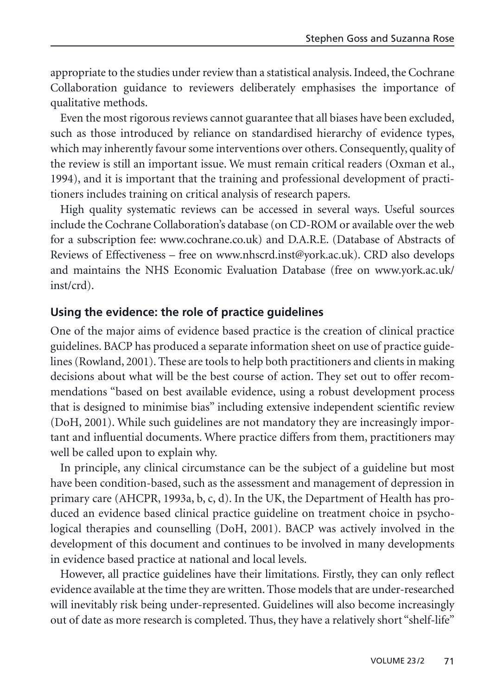<span id="page-4-0"></span>appropriate to the studies under review than a statistical analysis. Indeed, the Cochrane Collaboration guidance to reviewers deliberately emphasises the importance of qualitative methods.

Even the most rigorous reviews cannot guarantee that all biases have been excluded, such as those introduced by reliance on standardised hierarchy of evidence types, which may inherently favour some interventions over others. Consequently, quality of the review is still an important issue. We must remain critical readers (Oxman et al., 1994), and it is important that the training and professional development of practitioners includes training on critical analysis of research papers.

High quality systematic reviews can be accessed in several ways. Useful sources include the Cochrane Collaboration's database (on CD-ROM or available over the web for a subscription fee: www.cochrane.co.uk) and D.A.R.E. (Database of Abstracts of Reviews of Effectiveness – free on www.nhscrd.inst@york.ac.uk). CRD also develops and maintains the NHS Economic Evaluation Database (free on www.york.ac.uk/ inst/crd).

### **Using the evidence: the role of practice guidelines**

One of the major aims of evidence based practice is the creation of clinical practice guidelines. BACP has produced a separate information sheet on use of practice guidelines (Rowland, 2001). These are tools to help both practitioners and clients in making decisions about what will be the best course of action. They set out to offer recommendations "based on best available evidence, using a robust development process that is designed to minimise bias" including extensive independent scientific review (DoH, 2001). While such guidelines are not mandatory they are increasingly important and influential documents. Where practice differs from them, practitioners may well be called upon to explain why.

In principle, any clinical circumstance can be the subject of a guideline but most have been condition-based, such as the assessment and management of depression in primary care (AHCPR, 1993a, b, c, d). In the UK, the Department of Health has produced an evidence based clinical practice guideline on treatment choice in psychological therapies and counselling (DoH, 2001). BACP was actively involved in the development of this document and continues to be involved in many developments in evidence based practice at national and local levels.

However, all practice guidelines have their limitations. Firstly, they can only reflect evidence available at the time they are written. Those models that are under-researched will inevitably risk being under-represented. Guidelines will also become increasingly out of date as more research is completed. Thus, they have a relatively short "shelf-life"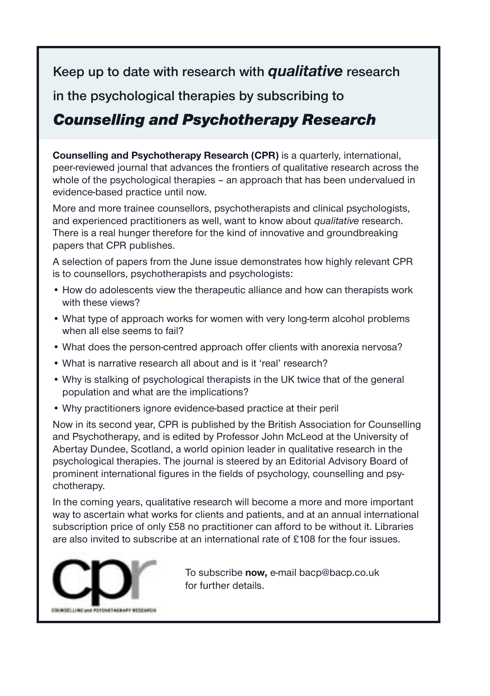# **Keep up to date with research with** *qualitative* **research**

**in the psychological therapies by subscribing to** 

# *Counselling and Psychotherapy Research*

**Counselling and Psychotherapy Research (CPR)** is a quarterly, international, peer-reviewed journal that advances the frontiers of qualitative research across the whole of the psychological therapies – an approach that has been undervalued in evidence-based practice until now.

More and more trainee counsellors, psychotherapists and clinical psychologists, and experienced practitioners as well, want to know about *qualitative* research. There is a real hunger therefore for the kind of innovative and groundbreaking papers that CPR publishes.

A selection of papers from the June issue demonstrates how highly relevant CPR is to counsellors, psychotherapists and psychologists:

- How do adolescents view the therapeutic alliance and how can therapists work with these views?
- What type of approach works for women with very long-term alcohol problems when all else seems to fail?
- What does the person-centred approach offer clients with anorexia nervosa?
- What is narrative research all about and is it 'real' research?
- Why is stalking of psychological therapists in the UK twice that of the general population and what are the implications?
- Why practitioners ignore evidence-based practice at their peril

Now in its second year, CPR is published by the British Association for Counselling and Psychotherapy, and is edited by Professor John McLeod at the University of Abertay Dundee, Scotland, a world opinion leader in qualitative research in the psychological therapies. The journal is steered by an Editorial Advisory Board of prominent international figures in the fields of psychology, counselling and psychotherapy.

In the coming years, qualitative research will become a more and more important way to ascertain what works for clients and patients, and at an annual international subscription price of only £58 no practitioner can afford to be without it. Libraries are also invited to subscribe at an international rate of £108 for the four issues.



To subscribe **now,** e-mail bacp@bacp.co.uk for further details.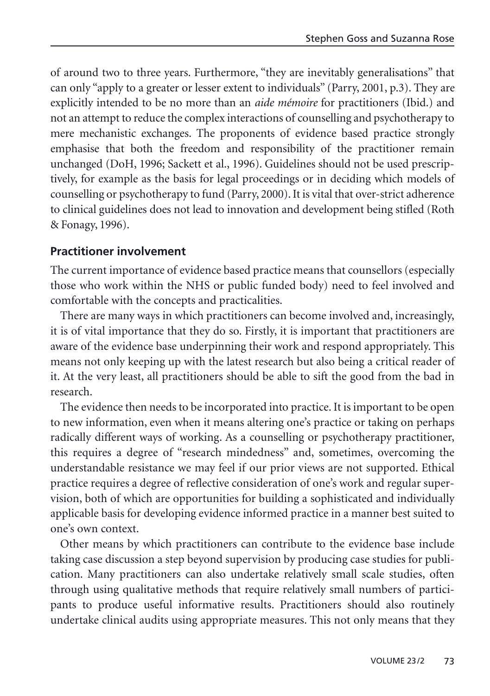of around two to three years. Furthermore, "they are inevitably generalisations" that can only "apply to a greater or lesser extent to individuals" (Parry, 2001, p.3). They are explicitly intended to be no more than an *aide mémoire* for practitioners (Ibid.) and not an attempt to reduce the complex interactions of counselling and psychotherapy to mere mechanistic exchanges. The proponents of evidence based practice strongly emphasise that both the freedom and responsibility of the practitioner remain unchanged (DoH, 1996; Sackett et al., 1996). Guidelines should not be used prescriptively, for example as the basis for legal proceedings or in deciding which models of counselling or psychotherapy to fund (Parry, 2000). It is vital that over-strict adherence to clinical guidelines does not lead to innovation and development being stifled (Roth & Fonagy, 1996).

### **Practitioner involvement**

The current importance of evidence based practice means that counsellors (especially those who work within the NHS or public funded body) need to feel involved and comfortable with the concepts and practicalities.

There are many ways in which practitioners can become involved and, increasingly, it is of vital importance that they do so. Firstly, it is important that practitioners are aware of the evidence base underpinning their work and respond appropriately. This means not only keeping up with the latest research but also being a critical reader of it. At the very least, all practitioners should be able to sift the good from the bad in research.

The evidence then needs to be incorporated into practice. It is important to be open to new information, even when it means altering one's practice or taking on perhaps radically different ways of working. As a counselling or psychotherapy practitioner, this requires a degree of "research mindedness" and, sometimes, overcoming the understandable resistance we may feel if our prior views are not supported. Ethical practice requires a degree of reflective consideration of one's work and regular supervision, both of which are opportunities for building a sophisticated and individually applicable basis for developing evidence informed practice in a manner best suited to one's own context.

Other means by which practitioners can contribute to the evidence base include taking case discussion a step beyond supervision by producing case studies for publication. Many practitioners can also undertake relatively small scale studies, often through using qualitative methods that require relatively small numbers of participants to produce useful informative results. Practitioners should also routinely undertake clinical audits using appropriate measures. This not only means that they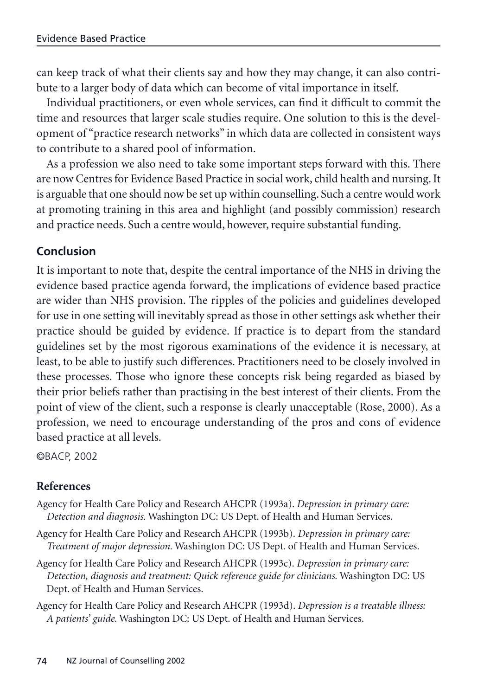can keep track of what their clients say and how they may change, it can also contribute to a larger body of data which can become of vital importance in itself.

Individual practitioners, or even whole services, can find it difficult to commit the time and resources that larger scale studies require. One solution to this is the development of "practice research networks" in which data are collected in consistent ways to contribute to a shared pool of information.

As a profession we also need to take some important steps forward with this. There are now Centres for Evidence Based Practice in social work, child health and nursing. It is arguable that one should now be set up within counselling. Such a centre would work at promoting training in this area and highlight (and possibly commission) research and practice needs. Such a centre would, however, require substantial funding.

# **Conclusion**

It is important to note that, despite the central importance of the NHS in driving the evidence based practice agenda forward, the implications of evidence based practice are wider than NHS provision. The ripples of the policies and guidelines developed for use in one setting will inevitably spread as those in other settings ask whether their practice should be guided by evidence. If practice is to depart from the standard guidelines set by the most rigorous examinations of the evidence it is necessary, at least, to be able to justify such differences. Practitioners need to be closely involved in these processes. Those who ignore these concepts risk being regarded as biased by their prior beliefs rather than practising in the best interest of their clients. From the point of view of the client, such a response is clearly unacceptable (Rose, 2000). As a profession, we need to encourage understanding of the pros and cons of evidence based practice at all levels.

©BACP, 2002

### **References**

- Agency for Health Care Policy and Research AHCPR (1993a). *Depression in primary care: Detection and diagnosis.* Washington DC: US Dept. of Health and Human Services.
- Agency for Health Care Policy and Research AHCPR (1993b). *Depression in primary care: Treatment of major depression.* Washington DC: US Dept. of Health and Human Services.
- Agency for Health Care Policy and Research AHCPR (1993c). *Depression in primary care: Detection, diagnosis and treatment: Quick reference guide for clinicians.* Washington DC: US Dept. of Health and Human Services.
- Agency for Health Care Policy and Research AHCPR (1993d). *Depression is a treatable illness: A patients' guide.* Washington DC: US Dept. of Health and Human Services.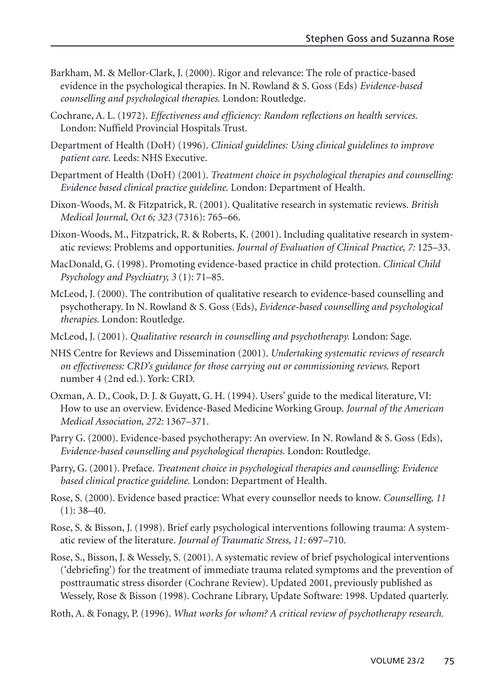- Barkham, M. & Mellor-Clark, J. (2000). Rigor and relevance: The role of practice-based evidence in the psychological therapies. In N. Rowland & S. Goss (Eds) *Evidence-based counselling and psychological therapies.* London: Routledge.
- Cochrane, A. L. (1972). *Effectiveness and efficiency: Random reflections on health services.* London: Nuffield Provincial Hospitals Trust.
- Department of Health (DoH) (1996). *Clinical guidelines: Using clinical guidelines to improve patient care.* Leeds: NHS Executive.
- Department of Health (DoH) (2001). *Treatment choice in psychological therapies and counselling: Evidence based clinical practice guideline.* London: Department of Health.
- Dixon-Woods, M. & Fitzpatrick, R. (2001). Qualitative research in systematic reviews. *British Medical Journal, Oct 6; 323* (7316): 765–66.
- Dixon-Woods, M., Fitzpatrick, R. & Roberts, K. (2001). Including qualitative research in systematic reviews: Problems and opportunities. *Journal of Evaluation of Clinical Practice, 7:* 125–33.
- MacDonald, G. (1998). Promoting evidence-based practice in child protection. *Clinical Child Psychology and Psychiatry, 3* (1): 71–85.
- McLeod, J. (2000). The contribution of qualitative research to evidence-based counselling and psychotherapy. In N. Rowland & S. Goss (Eds), *Evidence-based counselling and psychological therapies.* London: Routledge.
- McLeod, J. (2001). *Qualitative research in counselling and psychotherapy.* London: Sage.
- NHS Centre for Reviews and Dissemination (2001). *Undertaking systematic reviews of research on effectiveness: CRD's guidance for those carrying out or commissioning reviews*. Report number 4 (2nd ed.). York: CRD.
- Oxman, A. D., Cook, D. J. & Guyatt, G. H. (1994). Users' guide to the medical literature, VI: How to use an overview. Evidence-Based Medicine Working Group. *Journal of the American Medical Association, 272:* 1367–371.
- Parry G. (2000). Evidence-based psychotherapy: An overview. In N. Rowland & S. Goss (Eds), *Evidence-based counselling and psychological therapies.* London: Routledge.
- Parry, G. (2001). Preface. *Treatment choice in psychological therapies and counselling: Evidence based clinical practice guideline.* London: Department of Health.
- Rose, S. (2000). Evidence based practice: What every counsellor needs to know. *Counselling, 11*  $(1): 38-40.$
- Rose, S. & Bisson, J. (1998). Brief early psychological interventions following trauma: A systematic review of the literature. *Journal of Traumatic Stress, 11:* 697–710.
- Rose, S., Bisson, J. & Wessely, S. (2001). A systematic review of brief psychological interventions ('debriefing') for the treatment of immediate trauma related symptoms and the prevention of posttraumatic stress disorder (Cochrane Review). Updated 2001, previously published as Wessely, Rose & Bisson (1998). Cochrane Library, Update Software: 1998. Updated quarterly.
- Roth, A. & Fonagy, P. (1996). *What works for whom? A critical review of psychotherapy research.*